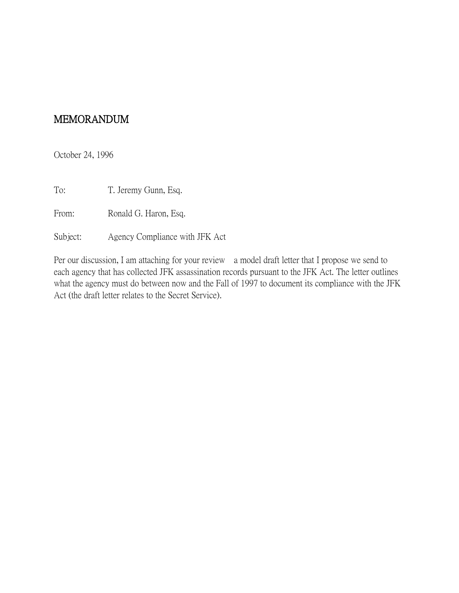## MEMORANDUM

October 24, 1996

To: T. Jeremy Gunn, Esq.

From: Ronald G. Haron, Esq.

Subject: Agency Compliance with JFK Act

Per our discussion, I am attaching for your review a model draft letter that I propose we send to each agency that has collected JFK assassination records pursuant to the JFK Act. The letter outlines what the agency must do between now and the Fall of 1997 to document its compliance with the JFK Act (the draft letter relates to the Secret Service).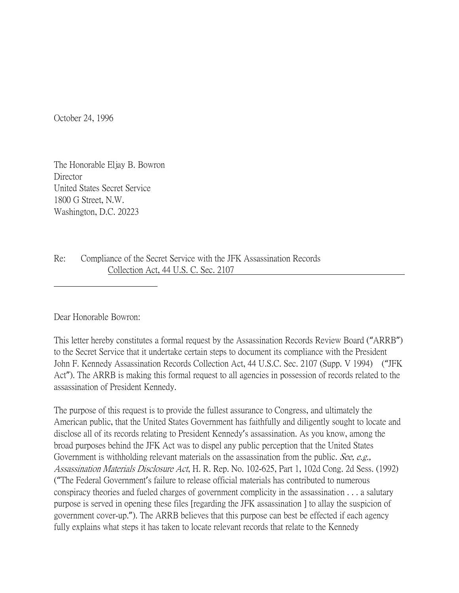October 24, 1996

The Honorable Eljay B. Bowron **Director** United States Secret Service 1800 G Street, N.W. Washington, D.C. 20223

Re: Compliance of the Secret Service with the JFK Assassination Records Collection Act, 44 U.S. C. Sec. 2107

Dear Honorable Bowron:

This letter hereby constitutes a formal request by the Assassination Records Review Board ("ARRB") to the Secret Service that it undertake certain steps to document its compliance with the President John F. Kennedy Assassination Records Collection Act, 44 U.S.C. Sec. 2107 (Supp. V 1994) ("JFK Act"). The ARRB is making this formal request to all agencies in possession of records related to the assassination of President Kennedy.

The purpose of this request is to provide the fullest assurance to Congress, and ultimately the American public, that the United States Government has faithfully and diligently sought to locate and disclose all of its records relating to President Kennedy's assassination. As you know, among the broad purposes behind the JFK Act was to dispel any public perception that the United States Government is withholding relevant materials on the assassination from the public. See, e.g., Assassination Materials Disclosure Act, H. R. Rep. No. 102-625, Part 1, 102d Cong. 2d Sess. (1992) ("The Federal Government's failure to release official materials has contributed to numerous conspiracy theories and fueled charges of government complicity in the assassination . . . a salutary purpose is served in opening these files [regarding the JFK assassination ] to allay the suspicion of government cover-up."). The ARRB believes that this purpose can best be effected if each agency fully explains what steps it has taken to locate relevant records that relate to the Kennedy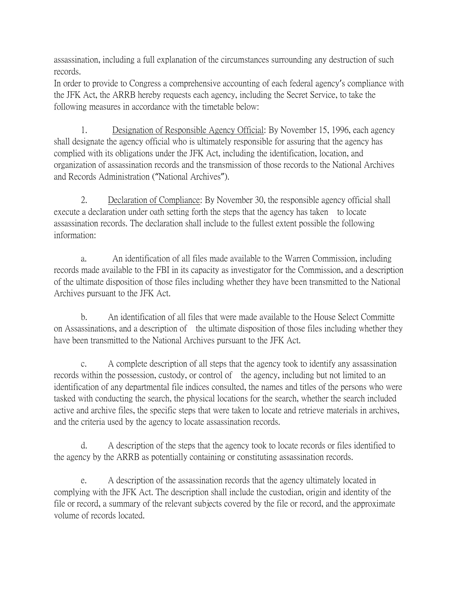assassination, including a full explanation of the circumstances surrounding any destruction of such records.

In order to provide to Congress a comprehensive accounting of each federal agency's compliance with the JFK Act, the ARRB hereby requests each agency, including the Secret Service, to take the following measures in accordance with the timetable below:

1. Designation of Responsible Agency Official: By November 15, 1996, each agency shall designate the agency official who is ultimately responsible for assuring that the agency has complied with its obligations under the JFK Act, including the identification, location, and organization of assassination records and the transmission of those records to the National Archives and Records Administration ("National Archives").

2. Declaration of Compliance: By November 30, the responsible agency official shall execute a declaration under oath setting forth the steps that the agency has taken to locate assassination records. The declaration shall include to the fullest extent possible the following information:

a. An identification of all files made available to the Warren Commission, including records made available to the FBI in its capacity as investigator for the Commission, and a description of the ultimate disposition of those files including whether they have been transmitted to the National Archives pursuant to the JFK Act.

b. An identification of all files that were made available to the House Select Committe on Assassinations, and a description of the ultimate disposition of those files including whether they have been transmitted to the National Archives pursuant to the JFK Act.

c. A complete description of all steps that the agency took to identify any assassination records within the possession, custody, or control of the agency, including but not limited to an identification of any departmental file indices consulted, the names and titles of the persons who were tasked with conducting the search, the physical locations for the search, whether the search included active and archive files, the specific steps that were taken to locate and retrieve materials in archives, and the criteria used by the agency to locate assassination records.

d. A description of the steps that the agency took to locate records or files identified to the agency by the ARRB as potentially containing or constituting assassination records.

e. A description of the assassination records that the agency ultimately located in complying with the JFK Act. The description shall include the custodian, origin and identity of the file or record, a summary of the relevant subjects covered by the file or record, and the approximate volume of records located.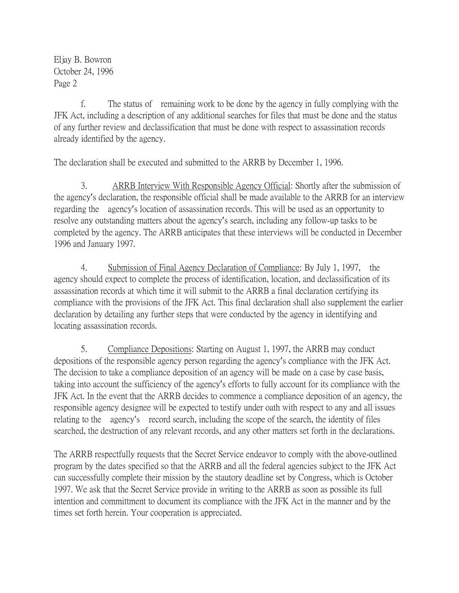Eljay B. Bowron October 24, 1996 Page 2

f. The status of remaining work to be done by the agency in fully complying with the JFK Act, including a description of any additional searches for files that must be done and the status of any further review and declassification that must be done with respect to assassination records already identified by the agency.

The declaration shall be executed and submitted to the ARRB by December 1, 1996.

3. ARRB Interview With Responsible Agency Official: Shortly after the submission of the agency's declaration, the responsible official shall be made available to the ARRB for an interview regarding the agency's location of assassination records. This will be used as an opportunity to resolve any outstanding matters about the agency's search, including any follow-up tasks to be completed by the agency. The ARRB anticipates that these interviews will be conducted in December 1996 and January 1997.

4. Submission of Final Agency Declaration of Compliance: By July 1, 1997, the agency should expect to complete the process of identification, location, and declassification of its assassination records at which time it will submit to the ARRB a final declaration certifying its compliance with the provisions of the JFK Act. This final declaration shall also supplement the earlier declaration by detailing any further steps that were conducted by the agency in identifying and locating assassination records.

5. Compliance Depositions: Starting on August 1, 1997, the ARRB may conduct depositions of the responsible agency person regarding the agency's compliance with the JFK Act. The decision to take a compliance deposition of an agency will be made on a case by case basis, taking into account the sufficiency of the agency's efforts to fully account for its compliance with the JFK Act. In the event that the ARRB decides to commence a compliance deposition of an agency, the responsible agency designee will be expected to testify under oath with respect to any and all issues relating to the agency's record search, including the scope of the search, the identity of files searched, the destruction of any relevant records, and any other matters set forth in the declarations.

The ARRB respectfully requests that the Secret Service endeavor to comply with the above-outlined program by the dates specified so that the ARRB and all the federal agencies subject to the JFK Act can successfully complete their mission by the stautory deadline set by Congress, which is October 1997. We ask that the Secret Service provide in writing to the ARRB as soon as possible its full intention and committment to document its compliance with the JFK Act in the manner and by the times set forth herein. Your cooperation is appreciated.